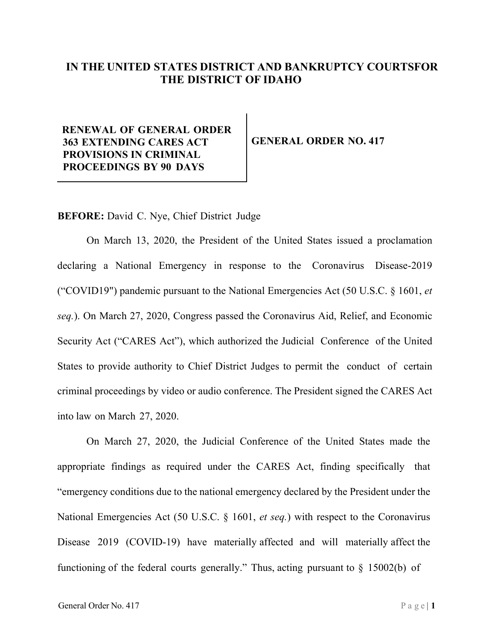## **IN THE UNITED STATES DISTRICT AND BANKRUPTCY COURTSFOR THE DISTRICT OF IDAHO**

## **RENEWAL OF GENERAL ORDER 363 EXTENDING CARES ACT PROVISIONS IN CRIMINAL PROCEEDINGS BY 90 DAYS**

**GENERAL ORDER NO. 417**

**BEFORE:** David C. Nye, Chief District Judge

On March 13, 2020, the President of the United States issued a proclamation declaring a National Emergency in response to the Coronavirus Disease-2019 ("COVID19") pandemic pursuant to the National Emergencies Act (50 U.S.C. § 1601, *et seq.*). On March 27, 2020, Congress passed the Coronavirus Aid, Relief, and Economic Security Act ("CARES Act"), which authorized the Judicial Conference of the United States to provide authority to Chief District Judges to permit the conduct of certain criminal proceedings by video or audio conference. The President signed the CARES Act into law on March 27, 2020.

On March 27, 2020, the Judicial Conference of the United States made the appropriate findings as required under the CARES Act, finding specifically that "emergency conditions due to the national emergency declared by the President under the National Emergencies Act (50 U.S.C. § 1601, *et seq.*) with respect to the Coronavirus Disease 2019 (COVID-19) have materially affected and will materially affect the functioning of the federal courts generally." Thus, acting pursuant to § 15002(b) of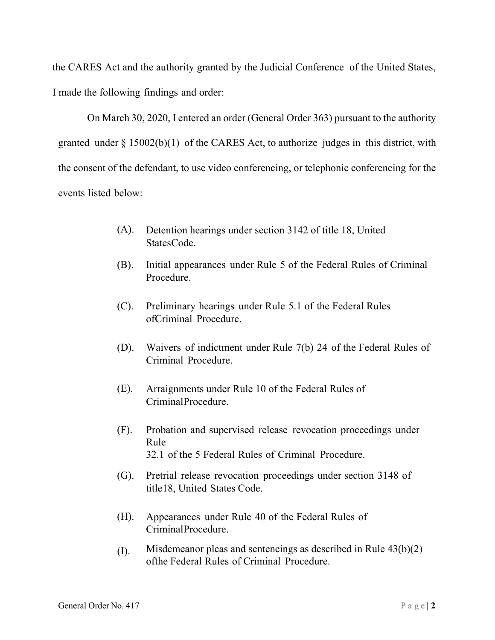the CARES Act and the authority granted by the Judicial Conference of the United States, I made the following findings and order:

On March 30, 2020, I entered an order (General Order 363) pursuant to the authority granted under  $\S 15002(b)(1)$  of the CARES Act, to authorize judges in this district, with the consent of the defendant, to use video conferencing, or telephonic conferencing for the events listed below:

- (A). Detention hearings under section 3142 of title 18, United StatesCode.
- (B). Initial appearances under Rule 5 of the Federal Rules of Criminal Procedure.
- (C). Preliminary hearings under Rule 5.1 of the Federal Rules ofCriminal Procedure.
- (D). Waivers of indictment under Rule 7(b) 24 of the Federal Rules of Criminal Procedure.
- (E). Arraignments under Rule 10 of the Federal Rules of CriminalProcedure.
- (F). Probation and supervised release revocation proceedings under Rule 32.1 of the 5 Federal Rules of Criminal Procedure.
- (G). Pretrial release revocation proceedings under section 3148 of title18, United States Code.
- (H). Appearances under Rule 40 of the Federal Rules of CriminalProcedure.
- (I). Misdemeanor pleas and sentencings as described in Rule  $43(b)(2)$ ofthe Federal Rules of Criminal Procedure.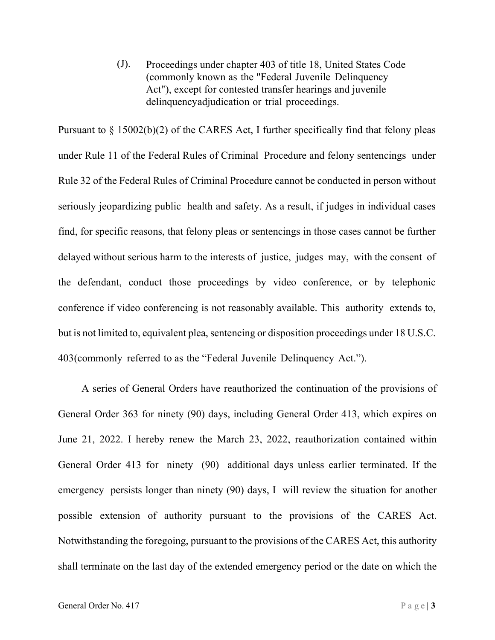(J). Proceedings under chapter 403 of title 18, United States Code (commonly known as the "Federal Juvenile Delinquency Act"), except for contested transfer hearings and juvenile delinquencyadjudication or trial proceedings.

Pursuant to § 15002(b)(2) of the CARES Act, I further specifically find that felony pleas under Rule 11 of the Federal Rules of Criminal Procedure and felony sentencings under Rule 32 of the Federal Rules of Criminal Procedure cannot be conducted in person without seriously jeopardizing public health and safety. As a result, if judges in individual cases find, for specific reasons, that felony pleas or sentencings in those cases cannot be further delayed without serious harm to the interests of justice, judges may, with the consent of the defendant, conduct those proceedings by video conference, or by telephonic conference if video conferencing is not reasonably available. This authority extends to, but is not limited to, equivalent plea, sentencing or disposition proceedings under 18 U.S.C. 403(commonly referred to as the "Federal Juvenile Delinquency Act.").

A series of General Orders have reauthorized the continuation of the provisions of General Order 363 for ninety (90) days, including General Order 413, which expires on June 21, 2022. I hereby renew the March 23, 2022, reauthorization contained within General Order 413 for ninety (90) additional days unless earlier terminated. If the emergency persists longer than ninety (90) days, I will review the situation for another possible extension of authority pursuant to the provisions of the CARES Act. Notwithstanding the foregoing, pursuant to the provisions of the CARES Act, this authority shall terminate on the last day of the extended emergency period or the date on which the